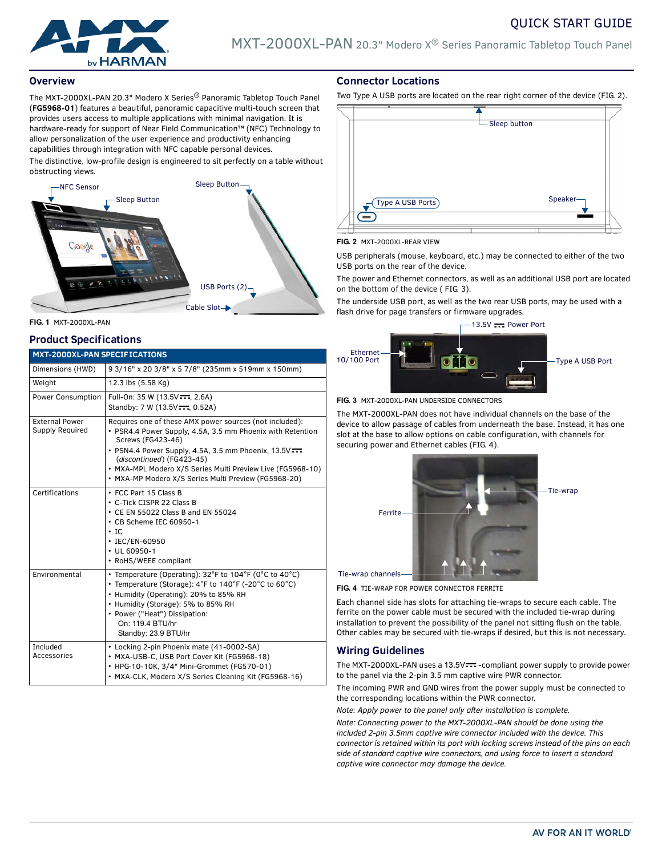



### **Overview**

The MXT-2000XL-PAN 20.3" Modero X Series® Panoramic Tabletop Touch Panel (**FG5968-01**) features a beautiful, panoramic capacitive multi-touch screen that provides users access to multiple applications with minimal navigation. It is hardware-ready for support of Near Field Communication™ (NFC) Technology to allow personalization of the user experience and productivity enhancing capabilities through integration with NFC capable personal devices.

The distinctive, low-profile design is engineered to sit perfectly on a table without obstructing views.



#### **FIG. 1** MXT-2000XL-PAN

#### **Product Specifications**

| <b>MXT-2000XL-PAN SPECIFICATIONS</b> |  |  |
|--------------------------------------|--|--|
|                                      |  |  |

| Dimensions (HWD)                         | 9 3/16" x 20 3/8" x 5 7/8" (235mm x 519mm x 150mm)                                                                                                                                                                                                                                                                                                   |  |
|------------------------------------------|------------------------------------------------------------------------------------------------------------------------------------------------------------------------------------------------------------------------------------------------------------------------------------------------------------------------------------------------------|--|
| Weight                                   | 12.3 lbs (5.58 Kg)                                                                                                                                                                                                                                                                                                                                   |  |
| Power Consumption                        | Full-On: 35 W (13.5V --- , 2.6A)<br>Standby: 7 W (13.5V===, 0.52A)                                                                                                                                                                                                                                                                                   |  |
| <b>External Power</b><br>Supply Required | Requires one of these AMX power sources (not included):<br>• PSR4.4 Power Supply, 4.5A, 3.5 mm Phoenix with Retention<br>Screws (FG423-46)<br>• PSN4.4 Power Supply, 4.5A, 3.5 mm Phoenix, 13.5V=<br>(discontinued) (FG423-45)<br>• MXA-MPL Modero X/S Series Multi Preview Live (FG5968-10)<br>• MXA-MP Modero X/S Series Multi Preview (FG5968-20) |  |
| Certifications                           | • FCC Part 15 Class B<br>• C-Tick CISPR 22 Class B<br>• CE EN 55022 Class B and EN 55024<br>• CB Scheme IEC 60950-1<br>$\cdot$ IC<br>• IEC/EN-60950<br>$\cdot$ UL 60950-1<br>• RoHS/WEEE compliant                                                                                                                                                   |  |
| Environmental                            | • Temperature (Operating): $32^{\circ}$ F to 104 $^{\circ}$ F (0 $^{\circ}$ C to 40 $^{\circ}$ C)<br>• Temperature (Storage): 4°F to 140°F (-20°C to 60°C)<br>• Humidity (Operating): 20% to 85% RH<br>• Humidity (Storage): 5% to 85% RH<br>• Power ("Heat") Dissipation:<br>On: 119.4 BTU/hr<br>Standby: 23.9 BTU/hr                               |  |
| Included<br>Accessories                  | • Locking 2-pin Phoenix mate (41-0002-SA)<br>• MXA-USB-C, USB Port Cover Kit (FG5968-18)<br>• HPG-10-10K, 3/4" Mini-Grommet (FG570-01)<br>• MXA-CLK, Modero X/S Series Cleaning Kit (FG5968-16)                                                                                                                                                      |  |

### **Connector Locations**

Two Type A USB ports are located on the rear right corner of the device (FIG. 2).



#### **FIG. 2** MXT-2000XL-REAR VIEW

USB peripherals (mouse, keyboard, etc.) may be connected to either of the two USB ports on the rear of the device.

The power and Ethernet connectors, as well as an additional USB port are located on the bottom of the device ( FIG. 3).

The underside USB port, as well as the two rear USB ports, may be used with a flash drive for page transfers or firmware upgrades.



**FIG. 3** MXT-2000XL-PAN UNDERSIDE CONNECTORS

The MXT-2000XL-PAN does not have individual channels on the base of the device to allow passage of cables from underneath the base. Instead, it has one slot at the base to allow options on cable configuration, with channels for securing power and Ethernet cables (FIG. 4).



**FIG. 4** TIE-WRAP FOR POWER CONNECTOR FERRITE

Each channel side has slots for attaching tie-wraps to secure each cable. The ferrite on the power cable must be secured with the included tie-wrap during installation to prevent the possibility of the panel not sitting flush on the table. Other cables may be secured with tie-wraps if desired, but this is not necessary.

# **Wiring Guidelines**

The MXT-2000XL-PAN uses a 13.5V --- - compliant power supply to provide power to the panel via the 2-pin 3.5 mm captive wire PWR connector.

The incoming PWR and GND wires from the power supply must be connected to the corresponding locations within the PWR connector.

*Note: Apply power to the panel only after installation is complete.*

*Note: Connecting power to the MXT-2000XL-PAN should be done using the included 2-pin 3.5mm captive wire connector included with the device. This connector is retained within its port with locking screws instead of the pins on each side of standard captive wire connectors, and using force to insert a standard captive wire connector may damage the device.*